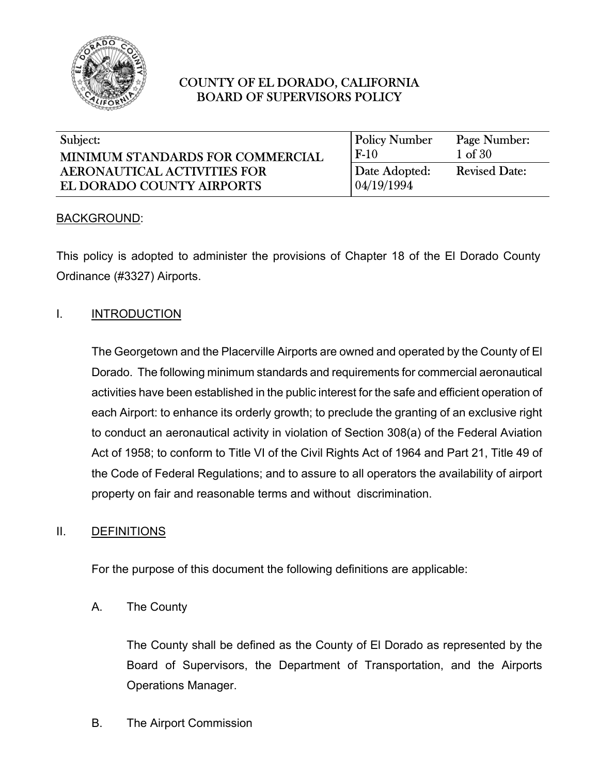

| Subject:                                | <b>Policy Number</b> | Page Number:         |
|-----------------------------------------|----------------------|----------------------|
| <b>MINIMUM STANDARDS FOR COMMERCIAL</b> | $F-10$               | $1 \text{ of } 30$   |
| <b>AERONAUTICAL ACTIVITIES FOR</b>      | Date Adopted:        | <b>Revised Date:</b> |
| EL DORADO COUNTY AIRPORTS               | 04/19/1994           |                      |

#### BACKGROUND:

This policy is adopted to administer the provisions of Chapter 18 of the El Dorado County Ordinance (#3327) Airports.

#### I. **INTRODUCTION**

The Georgetown and the Placerville Airports are owned and operated by the County of El Dorado. The following minimum standards and requirements for commercial aeronautical activities have been established in the public interest for the safe and efficient operation of each Airport: to enhance its orderly growth; to preclude the granting of an exclusive right to conduct an aeronautical activity in violation of Section 308(a) of the Federal Aviation Act of 1958; to conform to Title VI of the Civil Rights Act of 1964 and Part 21, Title 49 of the Code of Federal Regulations; and to assure to all operators the availability of airport property on fair and reasonable terms and without discrimination.

#### II. DEFINITIONS

For the purpose of this document the following definitions are applicable:

A. The County

The County shall be defined as the County of El Dorado as represented by the Board of Supervisors, the Department of Transportation, and the Airports Operations Manager.

B. The Airport Commission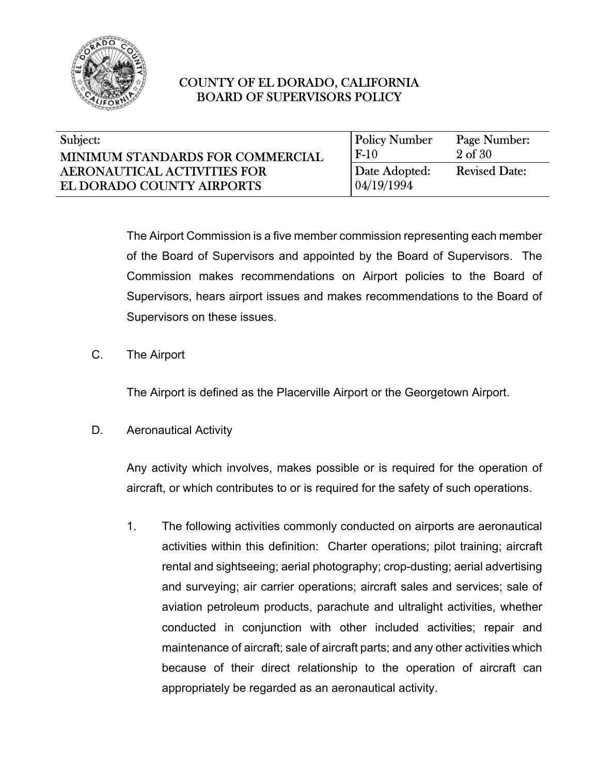

| Subject:                           | <b>Policy Number</b> | Page Number:         |
|------------------------------------|----------------------|----------------------|
| MINIMUM STANDARDS FOR COMMERCIAL   | $F-10$               | $2 \text{ of } 30$   |
| <b>AERONAUTICAL ACTIVITIES FOR</b> | Date Adopted:        | <b>Revised Date:</b> |
| EL DORADO COUNTY AIRPORTS          | 04/19/1994           |                      |
|                                    |                      |                      |

The Airport Commission is a five member commission representing each member of the Board of Supervisors and appointed by the Board of Supervisors. The Commission makes recommendations on Airport policies to the Board of Supervisors, hears airport issues and makes recommendations to the Board of Supervisors on these issues.

C. The Airport

The Airport is defined as the Placerville Airport or the Georgetown Airport.

D. Aeronautical Activity

Any activity which involves, makes possible or is required for the operation of aircraft, or which contributes to or is required for the safety of such operations.

1. The following activities commonly conducted on airports are aeronautical activities within this definition: Charter operations; pilot training; aircraft rental and sightseeing; aerial photography; crop-dusting; aerial advertising and surveying; air carrier operations; aircraft sales and services; sale of aviation petroleum products, parachute and ultralight activities, whether conducted in conjunction with other included activities; repair and maintenance of aircraft; sale of aircraft parts; and any other activities which because of their direct relationship to the operation of aircraft can appropriately be regarded as an aeronautical activity.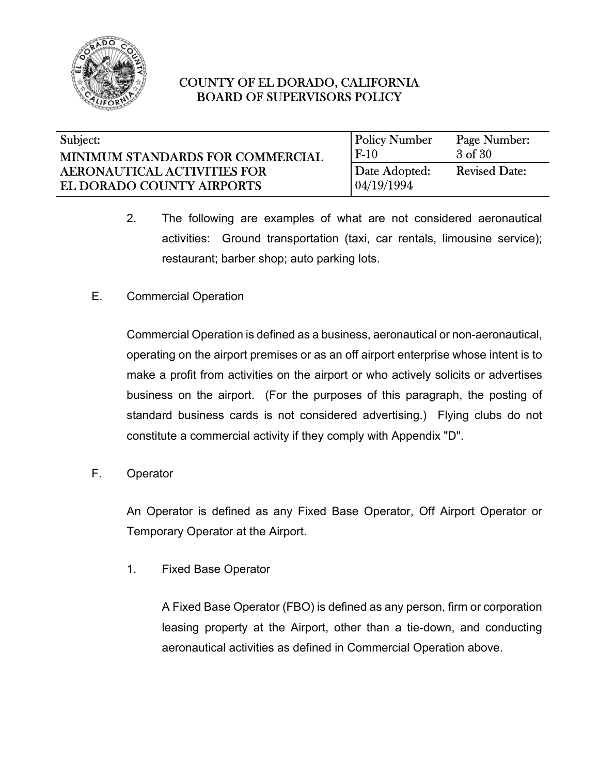

| Subject:                         | <b>Policy Number</b> | Page Number:         |
|----------------------------------|----------------------|----------------------|
| MINIMUM STANDARDS FOR COMMERCIAL | $F-10$               | 3 of 30              |
| AERONAUTICAL ACTIVITIES FOR      | Date Adopted:        | <b>Revised Date:</b> |
| EL DORADO COUNTY AIRPORTS        | 04/19/1994           |                      |

- 2. The following are examples of what are not considered aeronautical activities: Ground transportation (taxi, car rentals, limousine service); restaurant; barber shop; auto parking lots.
- E. Commercial Operation

Commercial Operation is defined as a business, aeronautical or non-aeronautical, operating on the airport premises or as an off airport enterprise whose intent is to make a profit from activities on the airport or who actively solicits or advertises business on the airport. (For the purposes of this paragraph, the posting of standard business cards is not considered advertising.) Flying clubs do not constitute a commercial activity if they comply with Appendix "D".

F. Operator

An Operator is defined as any Fixed Base Operator, Off Airport Operator or Temporary Operator at the Airport.

1. Fixed Base Operator

A Fixed Base Operator (FBO) is defined as any person, firm or corporation leasing property at the Airport, other than a tie-down, and conducting aeronautical activities as defined in Commercial Operation above.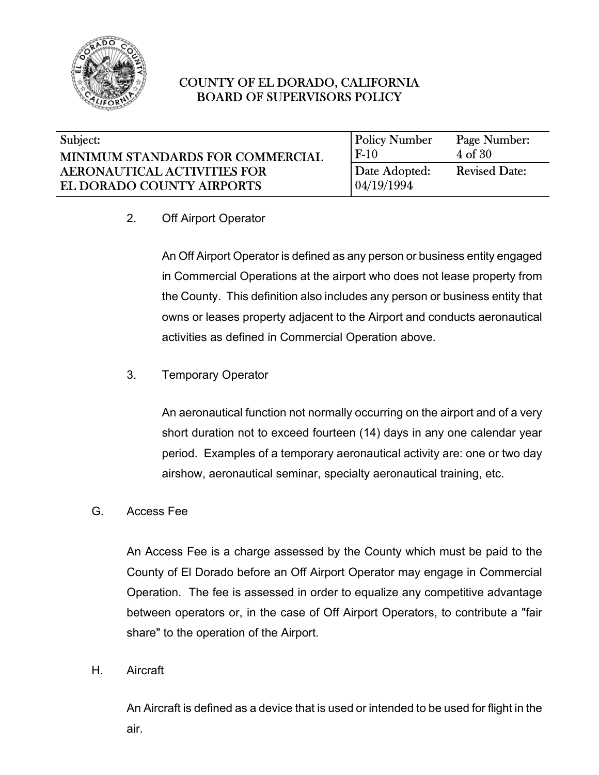

#### $\overline{\phantom{a}}$ Subject: MINIMUM STANDARDS FOR COMMERCIAL AERONAUTICAL ACTIVITIES FOR EL DORADO COUNTY AIRPORTS

| <b>Policy Number</b>         | Page Number:         |
|------------------------------|----------------------|
| $F-10$                       | 4 of 30              |
| Date Adopted:<br>104/19/1994 | <b>Revised Date:</b> |

2. Off Airport Operator

An Off Airport Operator is defined as any person or business entity engaged in Commercial Operations at the airport who does not lease property from the County. This definition also includes any person or business entity that owns or leases property adjacent to the Airport and conducts aeronautical activities as defined in Commercial Operation above.

3. Temporary Operator

An aeronautical function not normally occurring on the airport and of a very short duration not to exceed fourteen (14) days in any one calendar year period. Examples of a temporary aeronautical activity are: one or two day airshow, aeronautical seminar, specialty aeronautical training, etc.

G. Access Fee

An Access Fee is a charge assessed by the County which must be paid to the County of El Dorado before an Off Airport Operator may engage in Commercial Operation. The fee is assessed in order to equalize any competitive advantage between operators or, in the case of Off Airport Operators, to contribute a "fair share" to the operation of the Airport.

H. Aircraft

An Aircraft is defined as a device that is used or intended to be used for flight in the air.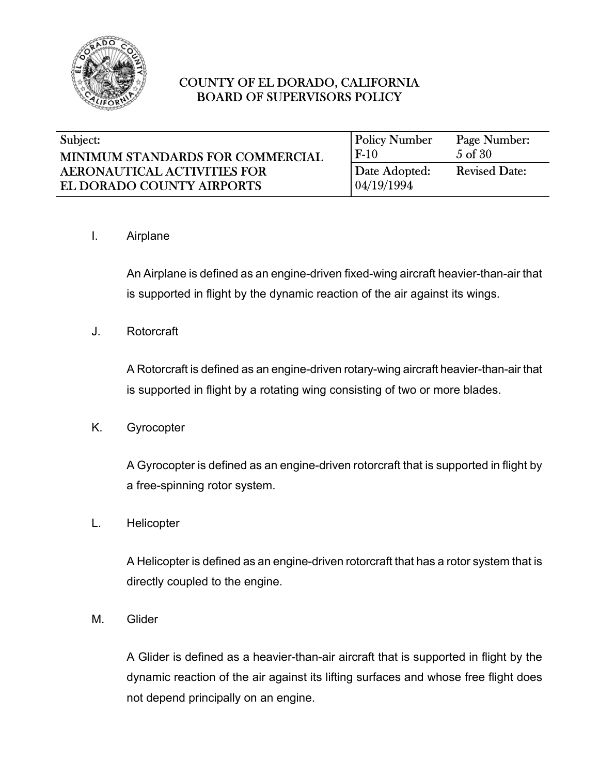

| Subject:                         | <b>Policy Number</b> | Page Number:         |
|----------------------------------|----------------------|----------------------|
| MINIMUM STANDARDS FOR COMMERCIAL | $F-10$               | 5 of 30              |
| AERONAUTICAL ACTIVITIES FOR      | Date Adopted:        | <b>Revised Date:</b> |
| EL DORADO COUNTY AIRPORTS        | 04/19/1994           |                      |

#### I. Airplane

An Airplane is defined as an engine-driven fixed-wing aircraft heavier-than-air that is supported in flight by the dynamic reaction of the air against its wings.

J. Rotorcraft

A Rotorcraft is defined as an engine-driven rotary-wing aircraft heavier-than-air that is supported in flight by a rotating wing consisting of two or more blades.

K. Gyrocopter

A Gyrocopter is defined as an engine-driven rotorcraft that is supported in flight by a free-spinning rotor system.

L. Helicopter

A Helicopter is defined as an engine-driven rotorcraft that has a rotor system that is directly coupled to the engine.

M. Glider

A Glider is defined as a heavier-than-air aircraft that is supported in flight by the dynamic reaction of the air against its lifting surfaces and whose free flight does not depend principally on an engine.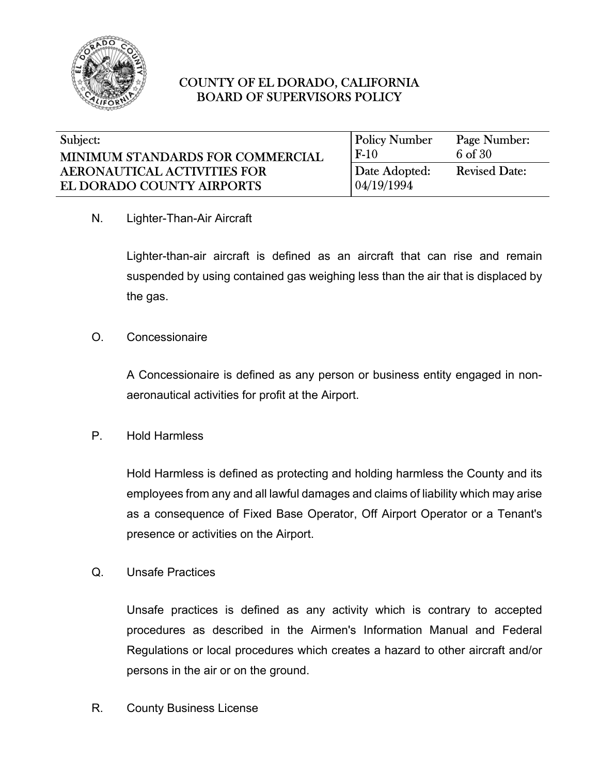

| Subject:                         | <b>Policy Number</b> | Page Number:         |
|----------------------------------|----------------------|----------------------|
| MINIMUM STANDARDS FOR COMMERCIAL | $F-10$               | 6 of 30              |
| AERONAUTICAL ACTIVITIES FOR      | Date Adopted:        | <b>Revised Date:</b> |
| EL DORADO COUNTY AIRPORTS        | 04/19/1994           |                      |

#### N. Lighter-Than-Air Aircraft

Lighter-than-air aircraft is defined as an aircraft that can rise and remain suspended by using contained gas weighing less than the air that is displaced by the gas.

#### O. Concessionaire

A Concessionaire is defined as any person or business entity engaged in nonaeronautical activities for profit at the Airport.

#### P. Hold Harmless

Hold Harmless is defined as protecting and holding harmless the County and its employees from any and all lawful damages and claims of liability which may arise as a consequence of Fixed Base Operator, Off Airport Operator or a Tenant's presence or activities on the Airport.

#### Q. Unsafe Practices

Unsafe practices is defined as any activity which is contrary to accepted procedures as described in the Airmen's Information Manual and Federal Regulations or local procedures which creates a hazard to other aircraft and/or persons in the air or on the ground.

R. County Business License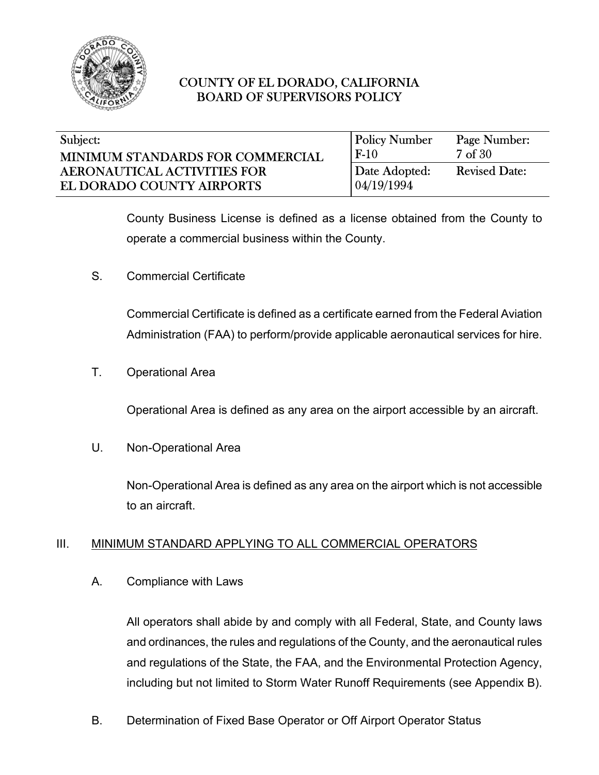

| Subject:                         | <b>Policy Number</b> | Page Number:         |
|----------------------------------|----------------------|----------------------|
| MINIMUM STANDARDS FOR COMMERCIAL | $F-10$               | 7 of 30              |
| AERONAUTICAL ACTIVITIES FOR      | Date Adopted:        | <b>Revised Date:</b> |
| EL DORADO COUNTY AIRPORTS        | 04/19/1994           |                      |

County Business License is defined as a license obtained from the County to operate a commercial business within the County.

S. Commercial Certificate

Commercial Certificate is defined as a certificate earned from the Federal Aviation Administration (FAA) to perform/provide applicable aeronautical services for hire.

T. Operational Area

Operational Area is defined as any area on the airport accessible by an aircraft.

U. Non-Operational Area

Non-Operational Area is defined as any area on the airport which is not accessible to an aircraft.

### III. MINIMUM STANDARD APPLYING TO ALL COMMERCIAL OPERATORS

A. Compliance with Laws

All operators shall abide by and comply with all Federal, State, and County laws and ordinances, the rules and regulations of the County, and the aeronautical rules and regulations of the State, the FAA, and the Environmental Protection Agency, including but not limited to Storm Water Runoff Requirements (see Appendix B).

B. Determination of Fixed Base Operator or Off Airport Operator Status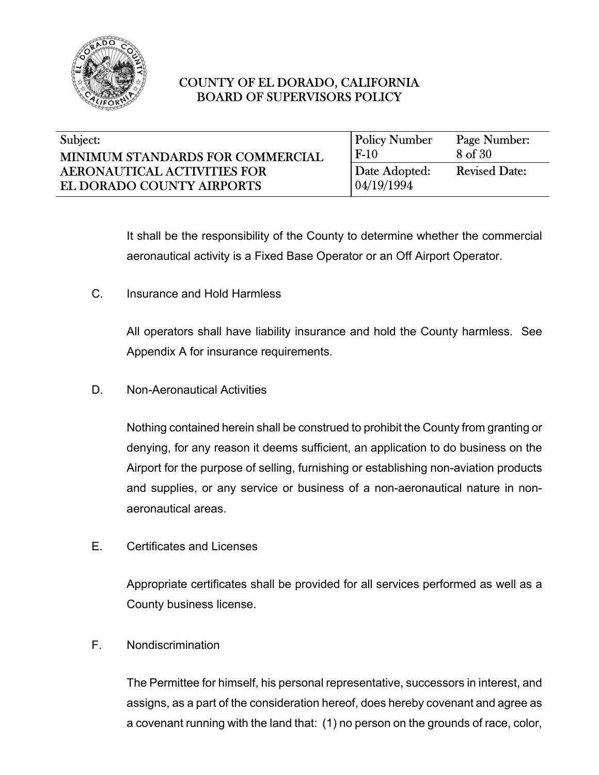

| Subject:                           | <b>Policy Number</b> | Page Number:         |
|------------------------------------|----------------------|----------------------|
| MINIMUM STANDARDS FOR COMMERCIAL   | $F-10$               | 8 of 30              |
| <b>AERONAUTICAL ACTIVITIES FOR</b> | Date Adopted:        | <b>Revised Date:</b> |
| EL DORADO COUNTY AIRPORTS          | 04/19/1994           |                      |

It shall be the responsibility of the County to determine whether the commercial aeronautical activity is a Fixed Base Operator or an Off Airport Operator.

C. Insurance and Hold Harmless

All operators shall have liability insurance and hold the County harmless. See Appendix A for insurance requirements.

D. Non-Aeronautical Activities

Nothing contained herein shall be construed to prohibit the County from granting or denying, for any reason it deems sufficient, an application to do business on the Airport for the purpose of selling, furnishing or establishing non-aviation products and supplies, or any service or business of a non-aeronautical nature in nonaeronautical areas.

E. Certificates and Licenses

Appropriate certificates shall be provided for all services performed as well as a County business license.

F. Nondiscrimination

The Permittee for himself, his personal representative, successors in interest, and assigns, as a part of the consideration hereof, does hereby covenant and agree as a covenant running with the land that: (1) no person on the grounds of race, color,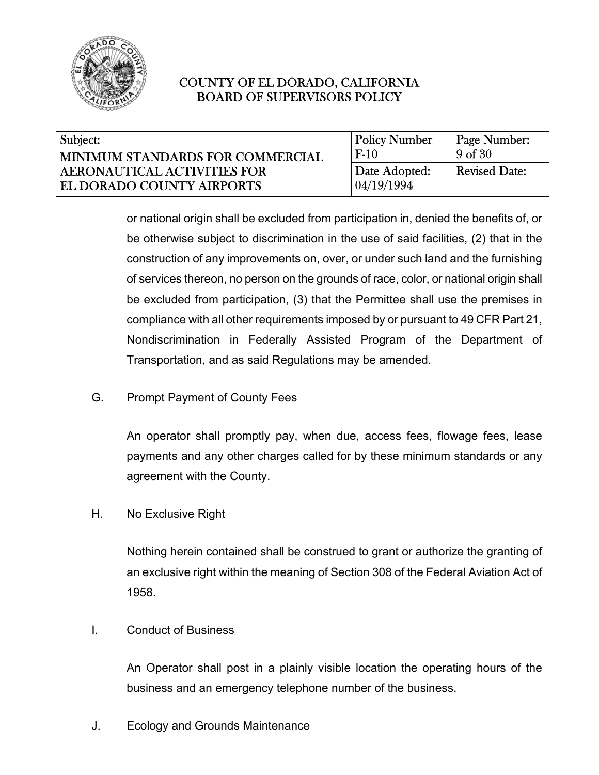

| Subject:                           | <b>Policy Number</b> | Page Number:         |
|------------------------------------|----------------------|----------------------|
| MINIMUM STANDARDS FOR COMMERCIAL   | $F-10$               | 9 <sub>of</sub> 30   |
| <b>AERONAUTICAL ACTIVITIES FOR</b> | Date Adopted:        | <b>Revised Date:</b> |
| EL DORADO COUNTY AIRPORTS          | 04/19/1994           |                      |

or national origin shall be excluded from participation in, denied the benefits of, or be otherwise subject to discrimination in the use of said facilities, (2) that in the construction of any improvements on, over, or under such land and the furnishing of services thereon, no person on the grounds of race, color, or national origin shall be excluded from participation, (3) that the Permittee shall use the premises in compliance with all other requirements imposed by or pursuant to 49 CFR Part 21, Nondiscrimination in Federally Assisted Program of the Department of Transportation, and as said Regulations may be amended.

G. Prompt Payment of County Fees

An operator shall promptly pay, when due, access fees, flowage fees, lease payments and any other charges called for by these minimum standards or any agreement with the County.

H. No Exclusive Right

Nothing herein contained shall be construed to grant or authorize the granting of an exclusive right within the meaning of Section 308 of the Federal Aviation Act of 1958.

I. Conduct of Business

An Operator shall post in a plainly visible location the operating hours of the business and an emergency telephone number of the business.

J. Ecology and Grounds Maintenance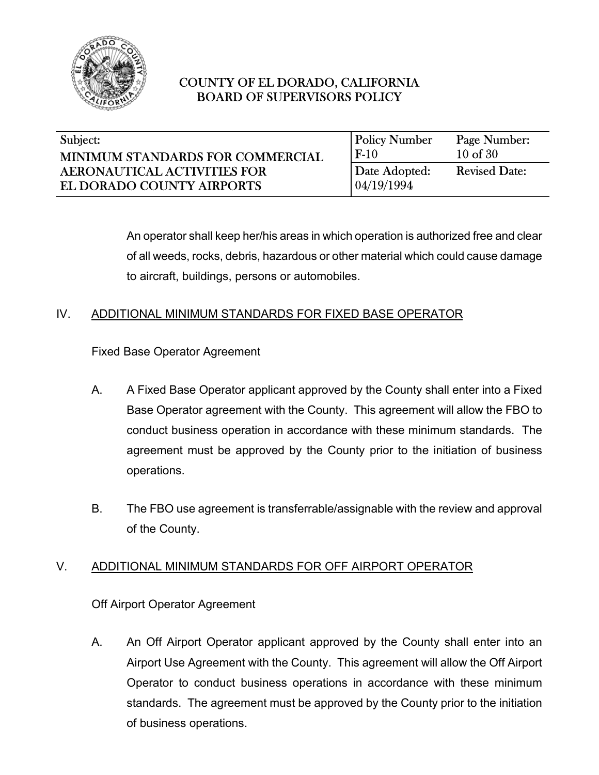

|        | Page Number:                                        |
|--------|-----------------------------------------------------|
| $F-10$ | $10$ of $30$                                        |
|        | <b>Revised Date:</b>                                |
|        |                                                     |
|        | <b>Policy Number</b><br>Date Adopted:<br>04/19/1994 |

An operator shall keep her/his areas in which operation is authorized free and clear of all weeds, rocks, debris, hazardous or other material which could cause damage to aircraft, buildings, persons or automobiles.

## IV. ADDITIONAL MINIMUM STANDARDS FOR FIXED BASE OPERATOR

Fixed Base Operator Agreement

- A. A Fixed Base Operator applicant approved by the County shall enter into a Fixed Base Operator agreement with the County. This agreement will allow the FBO to conduct business operation in accordance with these minimum standards. The agreement must be approved by the County prior to the initiation of business operations.
- B. The FBO use agreement is transferrable/assignable with the review and approval of the County.

### V. ADDITIONAL MINIMUM STANDARDS FOR OFF AIRPORT OPERATOR

Off Airport Operator Agreement

A. An Off Airport Operator applicant approved by the County shall enter into an Airport Use Agreement with the County. This agreement will allow the Off Airport Operator to conduct business operations in accordance with these minimum standards. The agreement must be approved by the County prior to the initiation of business operations.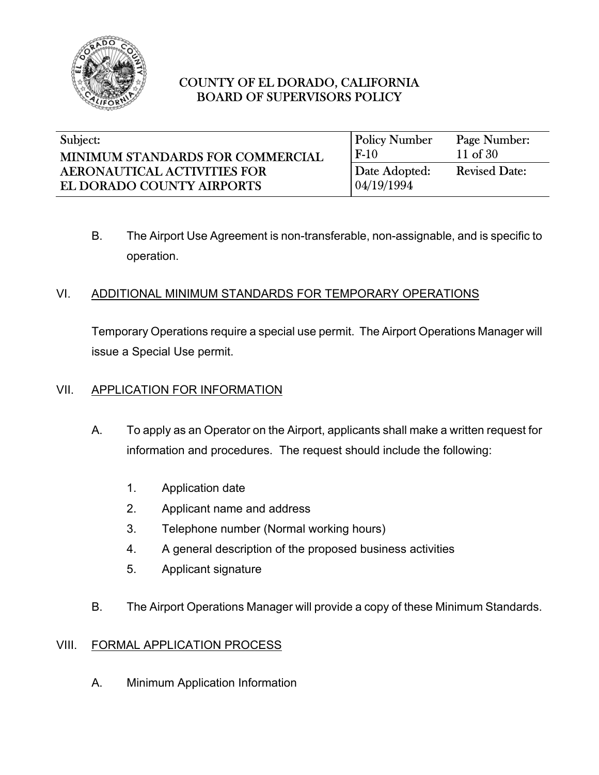

| Subject:                           | <b>Policy Number</b> | Page Number:         |
|------------------------------------|----------------------|----------------------|
| MINIMUM STANDARDS FOR COMMERCIAL   | $F-10$               | 11 of $30$           |
| <b>AERONAUTICAL ACTIVITIES FOR</b> | Date Adopted:        | <b>Revised Date:</b> |
| EL DORADO COUNTY AIRPORTS          | 04/19/1994           |                      |

B. The Airport Use Agreement is non-transferable, non-assignable, and is specific to operation.

### VI. ADDITIONAL MINIMUM STANDARDS FOR TEMPORARY OPERATIONS

Temporary Operations require a special use permit. The Airport Operations Manager will issue a Special Use permit.

### VII. APPLICATION FOR INFORMATION

- A. To apply as an Operator on the Airport, applicants shall make a written request for information and procedures. The request should include the following:
	- 1. Application date
	- 2. Applicant name and address
	- 3. Telephone number (Normal working hours)
	- 4. A general description of the proposed business activities
	- 5. Applicant signature
- B. The Airport Operations Manager will provide a copy of these Minimum Standards.

### VIII. FORMAL APPLICATION PROCESS

A. Minimum Application Information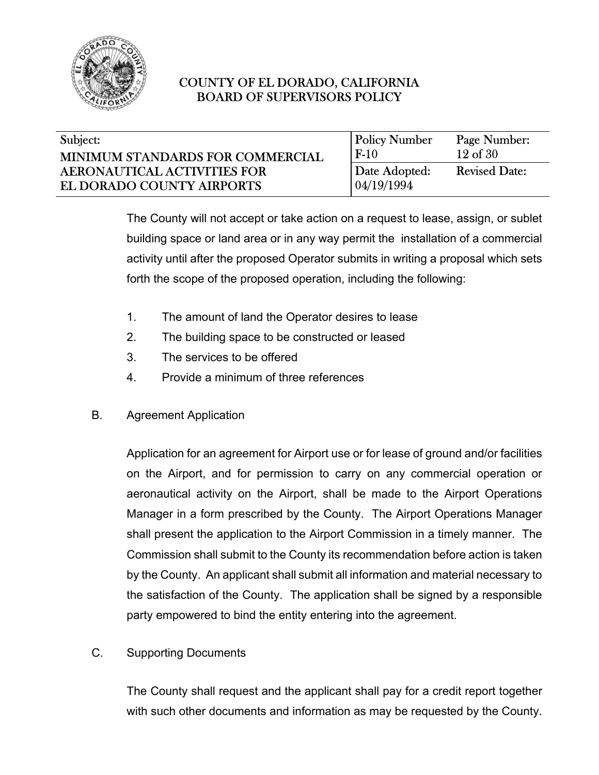

| Subject:                         | <b>Policy Number</b> | Page Number:         |
|----------------------------------|----------------------|----------------------|
| MINIMUM STANDARDS FOR COMMERCIAL | $F-10$               | $12$ of $30$         |
| AERONAUTICAL ACTIVITIES FOR      | Date Adopted:        | <b>Revised Date:</b> |
| EL DORADO COUNTY AIRPORTS        | 04/19/1994           |                      |

The County will not accept or take action on a request to lease, assign, or sublet building space or land area or in any way permit the installation of a commercial activity until after the proposed Operator submits in writing a proposal which sets forth the scope of the proposed operation, including the following:

- 1. The amount of land the Operator desires to lease
- 2. The building space to be constructed or leased
- 3. The services to be offered
- 4. Provide a minimum of three references
- B. Agreement Application

Application for an agreement for Airport use or for lease of ground and/or facilities on the Airport, and for permission to carry on any commercial operation or aeronautical activity on the Airport, shall be made to the Airport Operations Manager in a form prescribed by the County. The Airport Operations Manager shall present the application to the Airport Commission in a timely manner. The Commission shall submit to the County its recommendation before action is taken by the County. An applicant shall submit all information and material necessary to the satisfaction of the County. The application shall be signed by a responsible party empowered to bind the entity entering into the agreement.

C. Supporting Documents

The County shall request and the applicant shall pay for a credit report together with such other documents and information as may be requested by the County.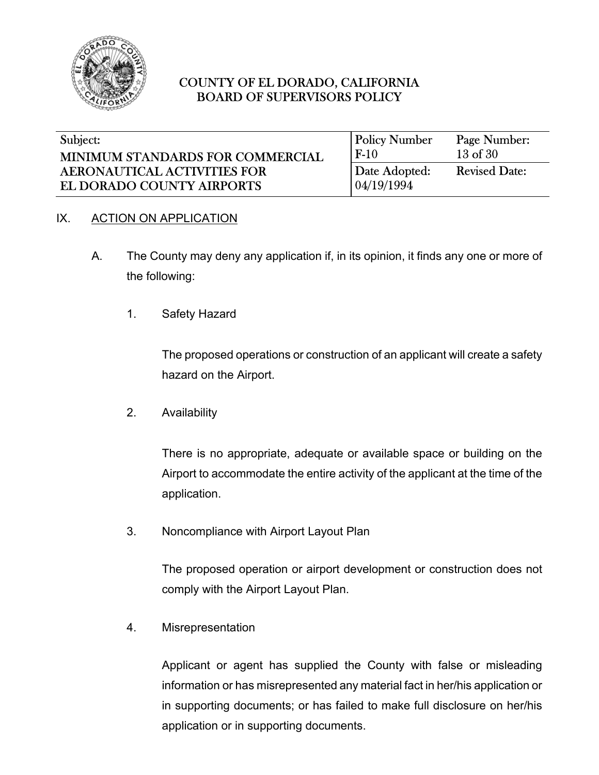

| Subject:                         | <b>Policy Number</b> | Page Number:         |
|----------------------------------|----------------------|----------------------|
| MINIMUM STANDARDS FOR COMMERCIAL | $F-10$               | $13$ of $30$         |
| AERONAUTICAL ACTIVITIES FOR      | Date Adopted:        | <b>Revised Date:</b> |
| EL DORADO COUNTY AIRPORTS        | 04/19/1994           |                      |

### IX. ACTION ON APPLICATION

- A. The County may deny any application if, in its opinion, it finds any one or more of the following:
	- 1. Safety Hazard

The proposed operations or construction of an applicant will create a safety hazard on the Airport.

2. Availability

There is no appropriate, adequate or available space or building on the Airport to accommodate the entire activity of the applicant at the time of the application.

3. Noncompliance with Airport Layout Plan

The proposed operation or airport development or construction does not comply with the Airport Layout Plan.

4. Misrepresentation

Applicant or agent has supplied the County with false or misleading information or has misrepresented any material fact in her/his application or in supporting documents; or has failed to make full disclosure on her/his application or in supporting documents.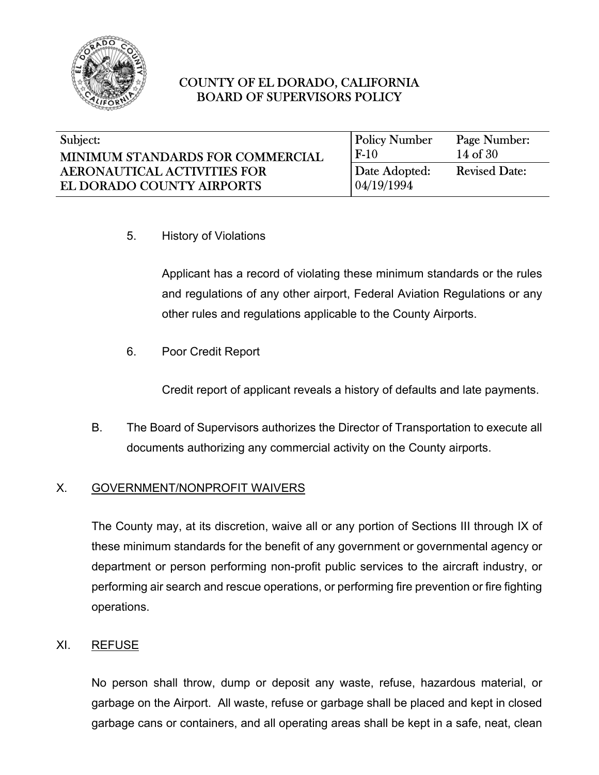

| Subject:                                | <b>Policy Number</b> | Page Number:         |
|-----------------------------------------|----------------------|----------------------|
| <b>MINIMUM STANDARDS FOR COMMERCIAL</b> | $F-10$               | $14$ of $30$         |
| <b>AERONAUTICAL ACTIVITIES FOR</b>      | Date Adopted:        | <b>Revised Date:</b> |
| EL DORADO COUNTY AIRPORTS               | 04/19/1994           |                      |

5. History of Violations

Applicant has a record of violating these minimum standards or the rules and regulations of any other airport, Federal Aviation Regulations or any other rules and regulations applicable to the County Airports.

6. Poor Credit Report

Credit report of applicant reveals a history of defaults and late payments.

B. The Board of Supervisors authorizes the Director of Transportation to execute all documents authorizing any commercial activity on the County airports.

#### X. GOVERNMENT/NONPROFIT WAIVERS

The County may, at its discretion, waive all or any portion of Sections III through IX of these minimum standards for the benefit of any government or governmental agency or department or person performing non-profit public services to the aircraft industry, or performing air search and rescue operations, or performing fire prevention or fire fighting operations.

#### XI. REFUSE

No person shall throw, dump or deposit any waste, refuse, hazardous material, or garbage on the Airport. All waste, refuse or garbage shall be placed and kept in closed garbage cans or containers, and all operating areas shall be kept in a safe, neat, clean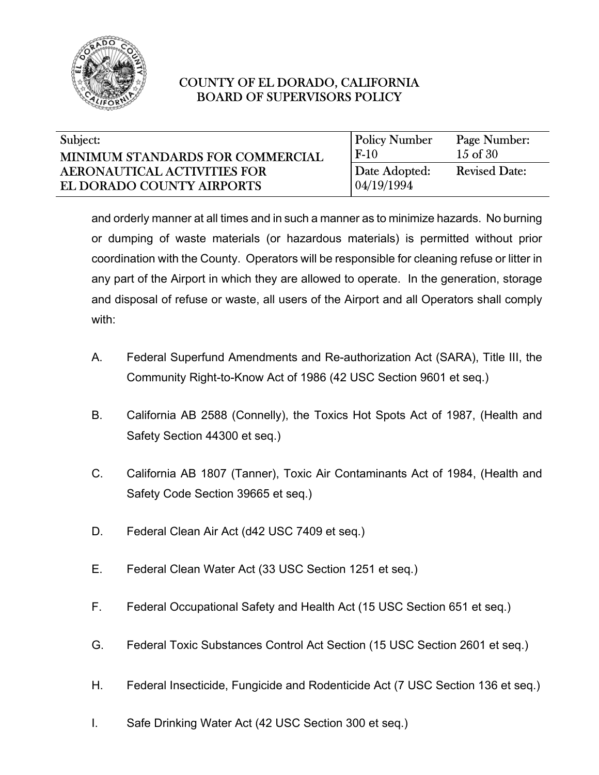

| Subject:                           | <b>Policy Number</b> | Page Number:         |
|------------------------------------|----------------------|----------------------|
| MINIMUM STANDARDS FOR COMMERCIAL   | $F-10$               | $15$ of $30$         |
| <b>AERONAUTICAL ACTIVITIES FOR</b> | Date Adopted:        | <b>Revised Date:</b> |
| EL DORADO COUNTY AIRPORTS          | 04/19/1994           |                      |

and orderly manner at all times and in such a manner as to minimize hazards. No burning or dumping of waste materials (or hazardous materials) is permitted without prior coordination with the County. Operators will be responsible for cleaning refuse or litter in any part of the Airport in which they are allowed to operate. In the generation, storage and disposal of refuse or waste, all users of the Airport and all Operators shall comply with:

- A. Federal Superfund Amendments and Re-authorization Act (SARA), Title III, the Community Right-to-Know Act of 1986 (42 USC Section 9601 et seq.)
- B. California AB 2588 (Connelly), the Toxics Hot Spots Act of 1987, (Health and Safety Section 44300 et seq.)
- C. California AB 1807 (Tanner), Toxic Air Contaminants Act of 1984, (Health and Safety Code Section 39665 et seq.)
- D. Federal Clean Air Act (d42 USC 7409 et seq.)
- E. Federal Clean Water Act (33 USC Section 1251 et seq.)
- F. Federal Occupational Safety and Health Act (15 USC Section 651 et seq.)
- G. Federal Toxic Substances Control Act Section (15 USC Section 2601 et seq.)
- H. Federal Insecticide, Fungicide and Rodenticide Act (7 USC Section 136 et seq.)
- I. Safe Drinking Water Act (42 USC Section 300 et seq.)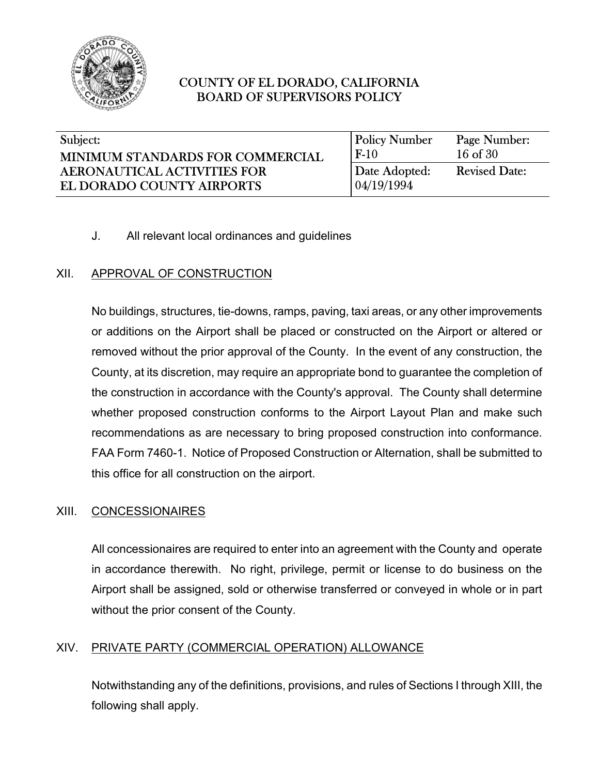

| Subject:                           | <b>Policy Number</b> | Page Number:         |
|------------------------------------|----------------------|----------------------|
| MINIMUM STANDARDS FOR COMMERCIAL   | $F-10$               | $16$ of $30$         |
| <b>AERONAUTICAL ACTIVITIES FOR</b> | Date Adopted:        | <b>Revised Date:</b> |
| EL DORADO COUNTY AIRPORTS          | 04/19/1994           |                      |

## J. All relevant local ordinances and guidelines

## XII. APPROVAL OF CONSTRUCTION

No buildings, structures, tie-downs, ramps, paving, taxi areas, or any other improvements or additions on the Airport shall be placed or constructed on the Airport or altered or removed without the prior approval of the County. In the event of any construction, the County, at its discretion, may require an appropriate bond to guarantee the completion of the construction in accordance with the County's approval. The County shall determine whether proposed construction conforms to the Airport Layout Plan and make such recommendations as are necessary to bring proposed construction into conformance. FAA Form 7460-1. Notice of Proposed Construction or Alternation, shall be submitted to this office for all construction on the airport.

### XIII. CONCESSIONAIRES

All concessionaires are required to enter into an agreement with the County and operate in accordance therewith. No right, privilege, permit or license to do business on the Airport shall be assigned, sold or otherwise transferred or conveyed in whole or in part without the prior consent of the County.

### XIV. PRIVATE PARTY (COMMERCIAL OPERATION) ALLOWANCE

Notwithstanding any of the definitions, provisions, and rules of Sections I through XIII, the following shall apply.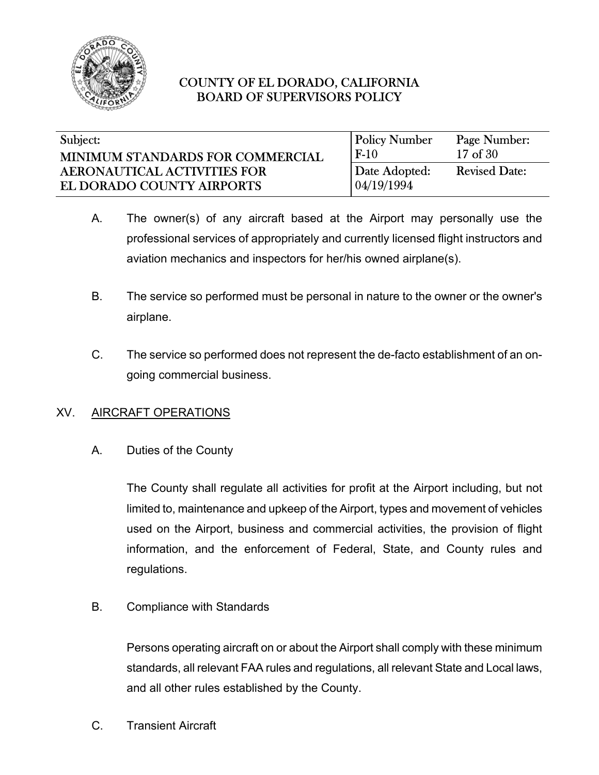

| Subject:                         | <b>Policy Number</b> | Page Number:         |
|----------------------------------|----------------------|----------------------|
| MINIMUM STANDARDS FOR COMMERCIAL | $F-10$               | $17$ of $30$         |
| AERONAUTICAL ACTIVITIES FOR      | Date Adopted:        | <b>Revised Date:</b> |
| EL DORADO COUNTY AIRPORTS        | 04/19/1994           |                      |

- A. The owner(s) of any aircraft based at the Airport may personally use the professional services of appropriately and currently licensed flight instructors and aviation mechanics and inspectors for her/his owned airplane(s).
- B. The service so performed must be personal in nature to the owner or the owner's airplane.
- C. The service so performed does not represent the de-facto establishment of an ongoing commercial business.

### XV. AIRCRAFT OPERATIONS

A. Duties of the County

The County shall regulate all activities for profit at the Airport including, but not limited to, maintenance and upkeep of the Airport, types and movement of vehicles used on the Airport, business and commercial activities, the provision of flight information, and the enforcement of Federal, State, and County rules and regulations.

B. Compliance with Standards

Persons operating aircraft on or about the Airport shall comply with these minimum standards, all relevant FAA rules and regulations, all relevant State and Local laws, and all other rules established by the County.

C. Transient Aircraft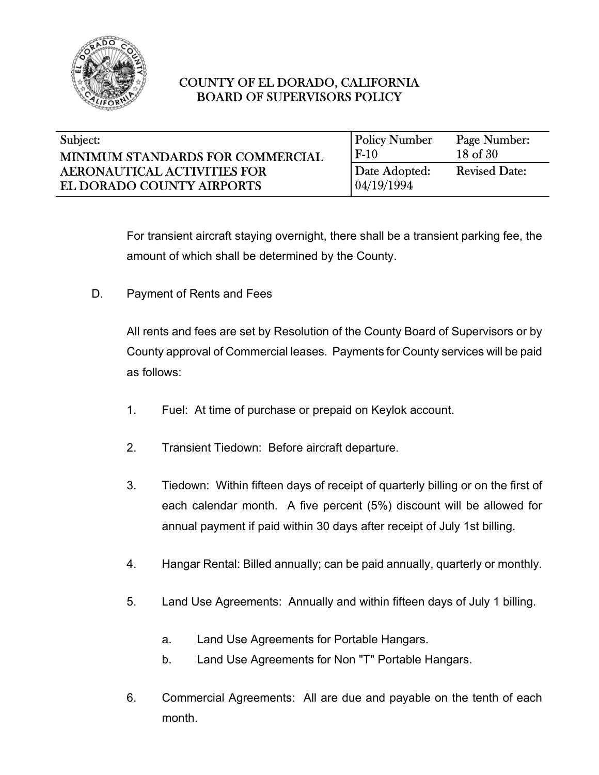

| Subject:                           | <b>Policy Number</b> | Page Number:         |
|------------------------------------|----------------------|----------------------|
| MINIMUM STANDARDS FOR COMMERCIAL   | $F-10$               | 18 of 30             |
| <b>AERONAUTICAL ACTIVITIES FOR</b> | Date Adopted:        | <b>Revised Date:</b> |
| EL DORADO COUNTY AIRPORTS          | 04/19/1994           |                      |

For transient aircraft staying overnight, there shall be a transient parking fee, the amount of which shall be determined by the County.

D. Payment of Rents and Fees

All rents and fees are set by Resolution of the County Board of Supervisors or by County approval of Commercial leases. Payments for County services will be paid as follows:

- 1. Fuel: At time of purchase or prepaid on Keylok account.
- 2. Transient Tiedown: Before aircraft departure.
- 3. Tiedown: Within fifteen days of receipt of quarterly billing or on the first of each calendar month. A five percent (5%) discount will be allowed for annual payment if paid within 30 days after receipt of July 1st billing.
- 4. Hangar Rental: Billed annually; can be paid annually, quarterly or monthly.
- 5. Land Use Agreements: Annually and within fifteen days of July 1 billing.
	- a. Land Use Agreements for Portable Hangars.
	- b. Land Use Agreements for Non "T" Portable Hangars.
- 6. Commercial Agreements: All are due and payable on the tenth of each month.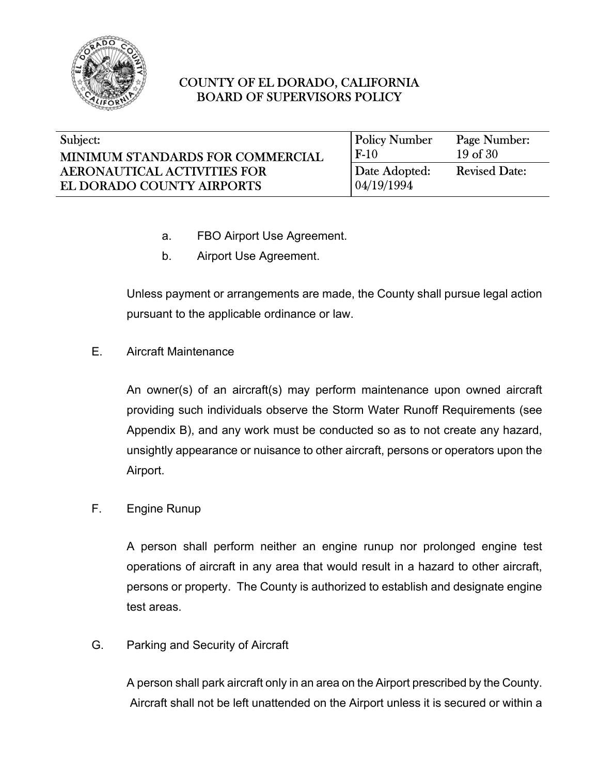

| Subject:                           | <b>Policy Number</b> | Page Number:         |
|------------------------------------|----------------------|----------------------|
| MINIMUM STANDARDS FOR COMMERCIAL   | $F-10$               | $19$ of $30$         |
| <b>AERONAUTICAL ACTIVITIES FOR</b> | Date Adopted:        | <b>Revised Date:</b> |
| EL DORADO COUNTY AIRPORTS          | 04/19/1994           |                      |

- a. FBO Airport Use Agreement.
- b. Airport Use Agreement.

Unless payment or arrangements are made, the County shall pursue legal action pursuant to the applicable ordinance or law.

E. Aircraft Maintenance

An owner(s) of an aircraft(s) may perform maintenance upon owned aircraft providing such individuals observe the Storm Water Runoff Requirements (see Appendix B), and any work must be conducted so as to not create any hazard, unsightly appearance or nuisance to other aircraft, persons or operators upon the Airport.

F. Engine Runup

A person shall perform neither an engine runup nor prolonged engine test operations of aircraft in any area that would result in a hazard to other aircraft, persons or property. The County is authorized to establish and designate engine test areas.

G. Parking and Security of Aircraft

A person shall park aircraft only in an area on the Airport prescribed by the County. Aircraft shall not be left unattended on the Airport unless it is secured or within a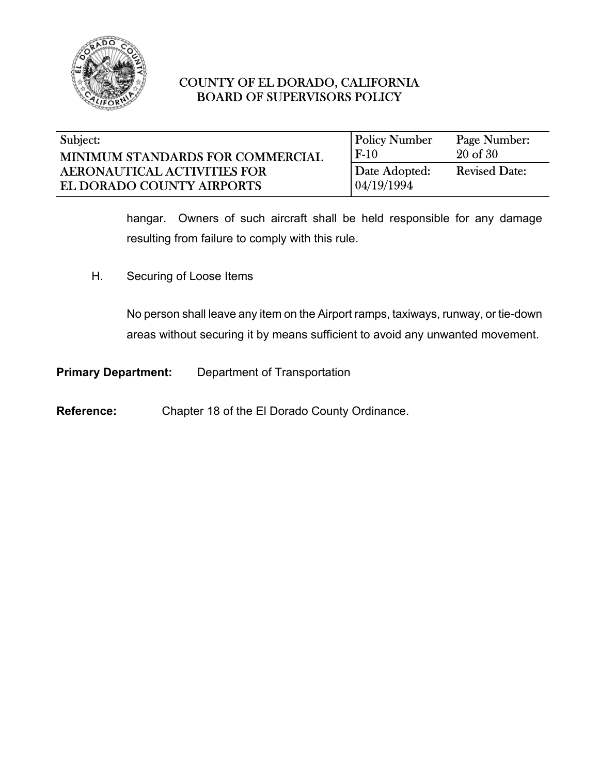

| Subject:                           | <b>Policy Number</b> | Page Number:         |
|------------------------------------|----------------------|----------------------|
| MINIMUM STANDARDS FOR COMMERCIAL   | $F-10$               | $20$ of $30$         |
| <b>AERONAUTICAL ACTIVITIES FOR</b> | Date Adopted:        | <b>Revised Date:</b> |
| EL DORADO COUNTY AIRPORTS          | 04/19/1994           |                      |

hangar. Owners of such aircraft shall be held responsible for any damage resulting from failure to comply with this rule.

H. Securing of Loose Items

No person shall leave any item on the Airport ramps, taxiways, runway, or tie-down areas without securing it by means sufficient to avoid any unwanted movement.

**Primary Department:** Department of Transportation

**Reference:** Chapter 18 of the El Dorado County Ordinance.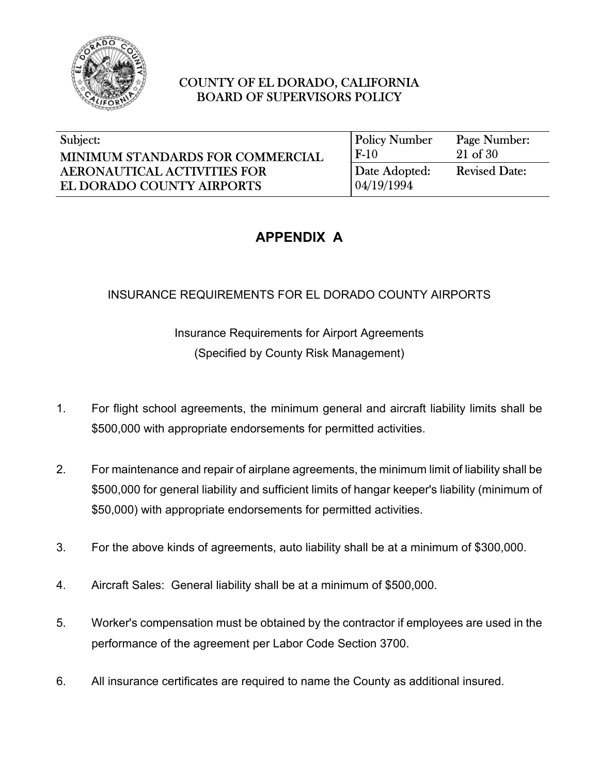

| Subject:                           | <b>Policy Number</b> | Page Number:         |
|------------------------------------|----------------------|----------------------|
| MINIMUM STANDARDS FOR COMMERCIAL   | $F-10$               | $21$ of $30$         |
| <b>AERONAUTICAL ACTIVITIES FOR</b> | Date Adopted:        | <b>Revised Date:</b> |
| EL DORADO COUNTY AIRPORTS          | 04/19/1994           |                      |

# **APPENDIX A**

# INSURANCE REQUIREMENTS FOR EL DORADO COUNTY AIRPORTS

Insurance Requirements for Airport Agreements (Specified by County Risk Management)

- 1. For flight school agreements, the minimum general and aircraft liability limits shall be \$500,000 with appropriate endorsements for permitted activities.
- 2. For maintenance and repair of airplane agreements, the minimum limit of liability shall be \$500,000 for general liability and sufficient limits of hangar keeper's liability (minimum of \$50,000) with appropriate endorsements for permitted activities.
- 3. For the above kinds of agreements, auto liability shall be at a minimum of \$300,000.
- 4. Aircraft Sales: General liability shall be at a minimum of \$500,000.
- 5. Worker's compensation must be obtained by the contractor if employees are used in the performance of the agreement per Labor Code Section 3700.
- 6. All insurance certificates are required to name the County as additional insured.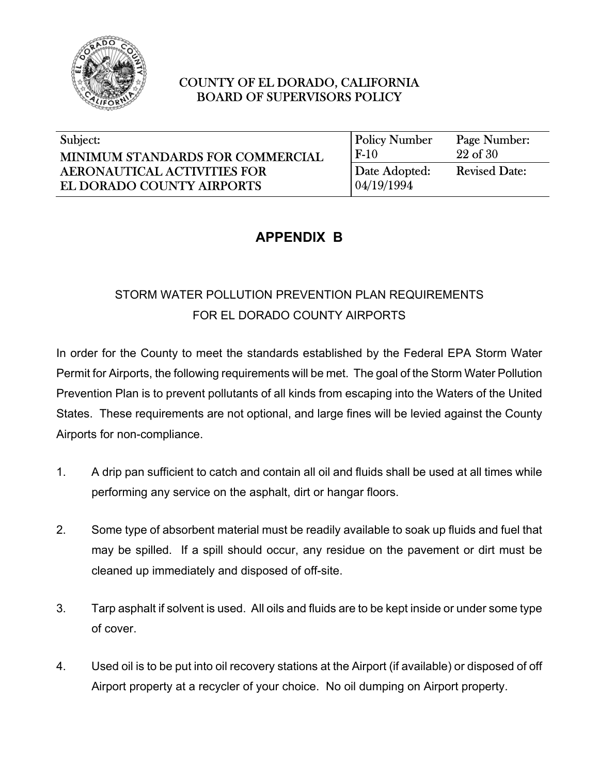

| Subject:                           | <b>Policy Number</b> | Page Number:         |
|------------------------------------|----------------------|----------------------|
| MINIMUM STANDARDS FOR COMMERCIAL   | $F-10$               | $22$ of $30$         |
| <b>AERONAUTICAL ACTIVITIES FOR</b> | Date Adopted:        | <b>Revised Date:</b> |
| EL DORADO COUNTY AIRPORTS          | 04/19/1994           |                      |

# **APPENDIX B**

# STORM WATER POLLUTION PREVENTION PLAN REQUIREMENTS FOR EL DORADO COUNTY AIRPORTS

In order for the County to meet the standards established by the Federal EPA Storm Water Permit for Airports, the following requirements will be met. The goal of the Storm Water Pollution Prevention Plan is to prevent pollutants of all kinds from escaping into the Waters of the United States. These requirements are not optional, and large fines will be levied against the County Airports for non-compliance.

- 1. A drip pan sufficient to catch and contain all oil and fluids shall be used at all times while performing any service on the asphalt, dirt or hangar floors.
- 2. Some type of absorbent material must be readily available to soak up fluids and fuel that may be spilled. If a spill should occur, any residue on the pavement or dirt must be cleaned up immediately and disposed of off-site.
- 3. Tarp asphalt if solvent is used. All oils and fluids are to be kept inside or under some type of cover.
- 4. Used oil is to be put into oil recovery stations at the Airport (if available) or disposed of off Airport property at a recycler of your choice. No oil dumping on Airport property.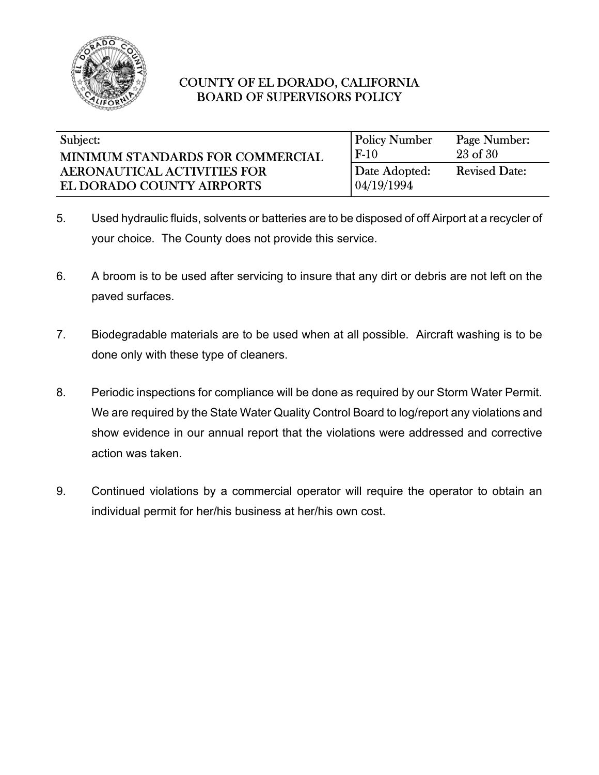

| Subject:                           | <b>Policy Number</b> | Page Number:         |
|------------------------------------|----------------------|----------------------|
| MINIMUM STANDARDS FOR COMMERCIAL   | $F-10$               | 23 of 30             |
| <b>AERONAUTICAL ACTIVITIES FOR</b> | Date Adopted:        | <b>Revised Date:</b> |
| EL DORADO COUNTY AIRPORTS          | 04/19/1994           |                      |

- 5. Used hydraulic fluids, solvents or batteries are to be disposed of off Airport at a recycler of your choice. The County does not provide this service.
- 6. A broom is to be used after servicing to insure that any dirt or debris are not left on the paved surfaces.
- 7. Biodegradable materials are to be used when at all possible. Aircraft washing is to be done only with these type of cleaners.
- 8. Periodic inspections for compliance will be done as required by our Storm Water Permit. We are required by the State Water Quality Control Board to log/report any violations and show evidence in our annual report that the violations were addressed and corrective action was taken.
- 9. Continued violations by a commercial operator will require the operator to obtain an individual permit for her/his business at her/his own cost.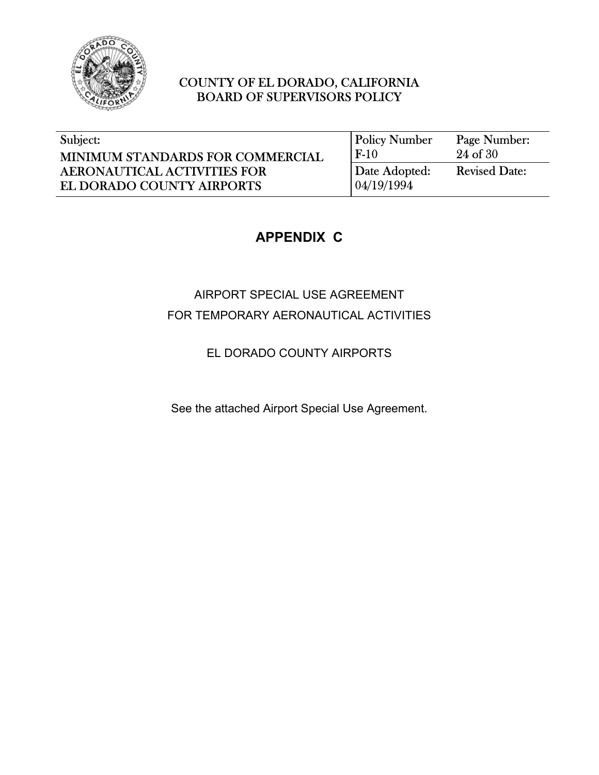

| Subject:                           | <b>Policy Number</b> | Page Number:         |
|------------------------------------|----------------------|----------------------|
| MINIMUM STANDARDS FOR COMMERCIAL   | $F-10$               | 24 of 30             |
| <b>AERONAUTICAL ACTIVITIES FOR</b> | Date Adopted:        | <b>Revised Date:</b> |
| EL DORADO COUNTY AIRPORTS          | 04/19/1994           |                      |

# **APPENDIX C**

AIRPORT SPECIAL USE AGREEMENT FOR TEMPORARY AERONAUTICAL ACTIVITIES

EL DORADO COUNTY AIRPORTS

See the attached Airport Special Use Agreement.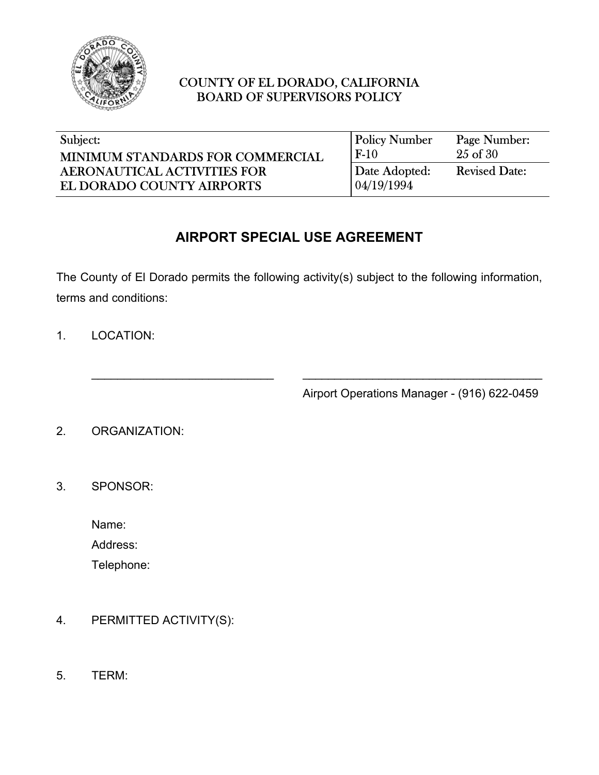

| Subject:                           | <b>Policy Number</b> | Page Number:         |
|------------------------------------|----------------------|----------------------|
| MINIMUM STANDARDS FOR COMMERCIAL   | $F-10$               | $25$ of $30$         |
| <b>AERONAUTICAL ACTIVITIES FOR</b> | Date Adopted:        | <b>Revised Date:</b> |
| EL DORADO COUNTY AIRPORTS          | 04/19/1994           |                      |

# **AIRPORT SPECIAL USE AGREEMENT**

The County of El Dorado permits the following activity(s) subject to the following information, terms and conditions:

\_\_\_\_\_\_\_\_\_\_\_\_\_\_\_\_\_\_\_\_\_\_\_\_\_\_\_\_ \_\_\_\_\_\_\_\_\_\_\_\_\_\_\_\_\_\_\_\_\_\_\_\_\_\_\_\_\_\_\_\_\_\_\_\_\_\_

1. LOCATION:

Airport Operations Manager - (916) 622-0459

2. ORGANIZATION:

3. SPONSOR:

Name:

Address:

Telephone:

- 4. PERMITTED ACTIVITY(S):
- 5. TERM: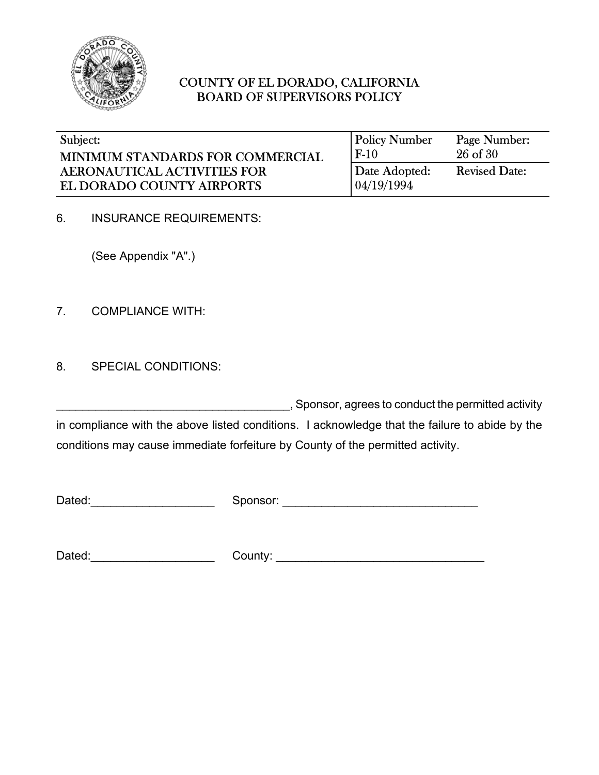

| Subject:                           | <b>Policy Number</b> | Page Number:         |
|------------------------------------|----------------------|----------------------|
| MINIMUM STANDARDS FOR COMMERCIAL   | $F-10$               | $26$ of $30$         |
| <b>AERONAUTICAL ACTIVITIES FOR</b> | Date Adopted:        | <b>Revised Date:</b> |
| EL DORADO COUNTY AIRPORTS          | 04/19/1994           |                      |

6. INSURANCE REQUIREMENTS:

(See Appendix "A".)

7. COMPLIANCE WITH:

8. SPECIAL CONDITIONS:

\_\_\_\_\_\_\_\_\_\_\_\_\_\_\_\_\_\_\_\_\_\_\_\_\_\_\_\_\_\_\_\_\_\_\_\_, Sponsor, agrees to conduct the permitted activity in compliance with the above listed conditions. I acknowledge that the failure to abide by the conditions may cause immediate forfeiture by County of the permitted activity.

Dated: example of the Sponsor:  $\blacksquare$ 

Dated:\_\_\_\_\_\_\_\_\_\_\_\_\_\_\_\_\_\_\_ County: \_\_\_\_\_\_\_\_\_\_\_\_\_\_\_\_\_\_\_\_\_\_\_\_\_\_\_\_\_\_\_\_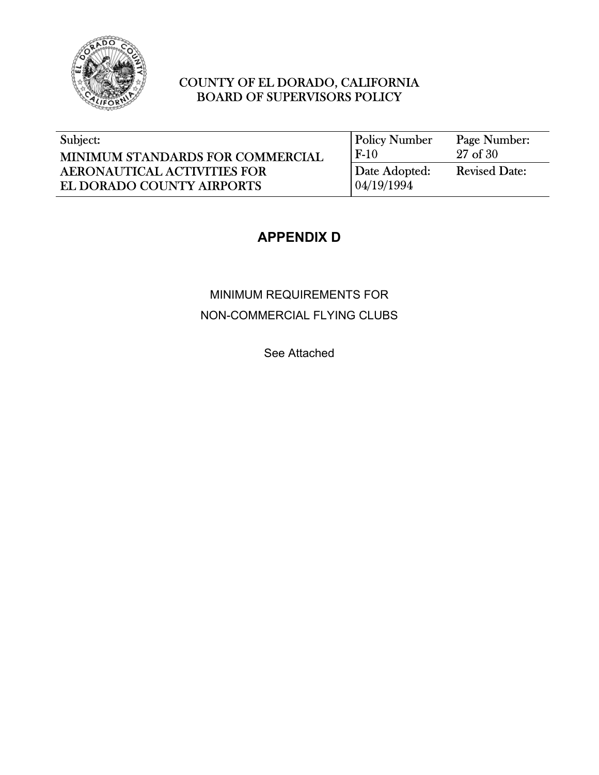

| Subject:                           | <b>Policy Number</b> | Page Number:         |
|------------------------------------|----------------------|----------------------|
| MINIMUM STANDARDS FOR COMMERCIAL   | $F-10$               | 27 of 30             |
| <b>AERONAUTICAL ACTIVITIES FOR</b> | Date Adopted:        | <b>Revised Date:</b> |
| EL DORADO COUNTY AIRPORTS          | 04/19/1994           |                      |

# **APPENDIX D**

# MINIMUM REQUIREMENTS FOR NON-COMMERCIAL FLYING CLUBS

See Attached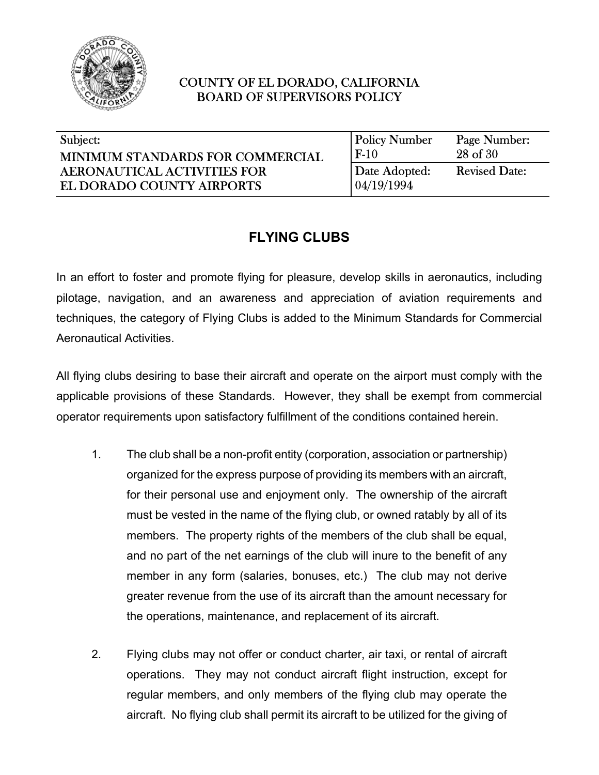

| Subject:                           | <b>Policy Number</b> | Page Number:         |
|------------------------------------|----------------------|----------------------|
| MINIMUM STANDARDS FOR COMMERCIAL   | $F-10$               | 28 of 30             |
| <b>AERONAUTICAL ACTIVITIES FOR</b> | Date Adopted:        | <b>Revised Date:</b> |
| EL DORADO COUNTY AIRPORTS          | 04/19/1994           |                      |

# **FLYING CLUBS**

In an effort to foster and promote flying for pleasure, develop skills in aeronautics, including pilotage, navigation, and an awareness and appreciation of aviation requirements and techniques, the category of Flying Clubs is added to the Minimum Standards for Commercial Aeronautical Activities.

All flying clubs desiring to base their aircraft and operate on the airport must comply with the applicable provisions of these Standards. However, they shall be exempt from commercial operator requirements upon satisfactory fulfillment of the conditions contained herein.

- 1. The club shall be a non-profit entity (corporation, association or partnership) organized for the express purpose of providing its members with an aircraft, for their personal use and enjoyment only. The ownership of the aircraft must be vested in the name of the flying club, or owned ratably by all of its members. The property rights of the members of the club shall be equal, and no part of the net earnings of the club will inure to the benefit of any member in any form (salaries, bonuses, etc.) The club may not derive greater revenue from the use of its aircraft than the amount necessary for the operations, maintenance, and replacement of its aircraft.
- 2. Flying clubs may not offer or conduct charter, air taxi, or rental of aircraft operations. They may not conduct aircraft flight instruction, except for regular members, and only members of the flying club may operate the aircraft. No flying club shall permit its aircraft to be utilized for the giving of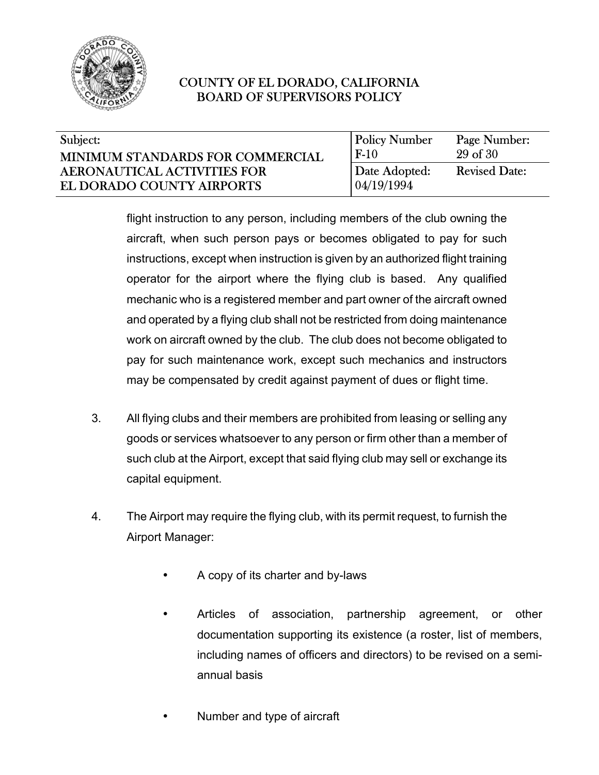

| Subject:                           | <b>Policy Number</b> | Page Number:         |
|------------------------------------|----------------------|----------------------|
| MINIMUM STANDARDS FOR COMMERCIAL   | $F-10$               | 29 of 30             |
| <b>AERONAUTICAL ACTIVITIES FOR</b> | Date Adopted:        | <b>Revised Date:</b> |
| EL DORADO COUNTY AIRPORTS          | 04/19/1994           |                      |

flight instruction to any person, including members of the club owning the aircraft, when such person pays or becomes obligated to pay for such instructions, except when instruction is given by an authorized flight training operator for the airport where the flying club is based. Any qualified mechanic who is a registered member and part owner of the aircraft owned and operated by a flying club shall not be restricted from doing maintenance work on aircraft owned by the club. The club does not become obligated to pay for such maintenance work, except such mechanics and instructors may be compensated by credit against payment of dues or flight time.

- 3. All flying clubs and their members are prohibited from leasing or selling any goods or services whatsoever to any person or firm other than a member of such club at the Airport, except that said flying club may sell or exchange its capital equipment.
- 4. The Airport may require the flying club, with its permit request, to furnish the Airport Manager:
	- A copy of its charter and by-laws
	- Articles of association, partnership agreement, or other documentation supporting its existence (a roster, list of members, including names of officers and directors) to be revised on a semiannual basis
	- Number and type of aircraft